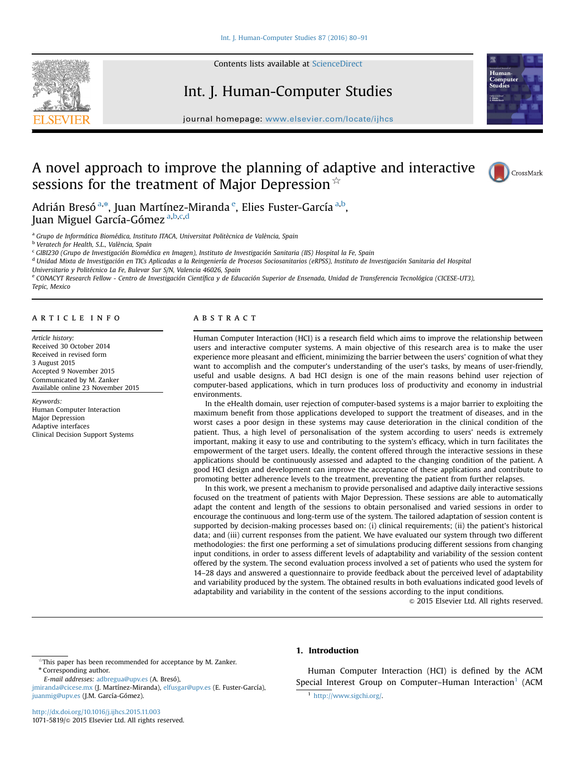

Contents lists available at [ScienceDirect](www.sciencedirect.com/science/journal/10715819)

## Int. J. Human-Computer Studies



journal homepage: www.elsevier.com/locate/ij/homepage: www.elsevier.com/locate/ij

# A novel approach to improve the planning of adaptive and interactive sessions for the treatment of Major Depression  $\overrightarrow{r}$



Adrián Bresó <sup>a,</sup>\*, Juan Martínez-Miranda <sup>e</sup>, Elies Fuster-García <sup>a,b</sup>, Juan Miguel García-Gómez a,b,c,d

<sup>a</sup> Grupo de Informática Biomédica, Instituto ITACA, Universitat Politècnica de València, Spain

<sup>b</sup> Veratech for Health, S.L., València, Spain

<sup>c</sup> GIBI230 (Grupo de Investigación Biomédica en Imagen), Instituto de Investigación Sanitaria (IIS) Hospital la Fe, Spain

<sup>d</sup> Unidad Mixta de Investigación en TICs Aplicadas a la Reingeniería de Procesos Sociosanitarios (eRPSS), Instituto de Investigación Sanitaria del Hospital Universitario y Politécnico La Fe, Bulevar Sur S/N, Valencia 46026, Spain

<sup>e</sup> CONACYT Research Fellow - Centro de Investigación Científica y de Educación Superior de Ensenada, Unidad de Transferencia Tecnológica (CICESE-UT3), Tepic, Mexico

#### article info

Article history: Received 30 October 2014 Received in revised form 3 August 2015 Accepted 9 November 2015 Communicated by M. Zanker Available online 23 November 2015

#### Keywords:

Human Computer Interaction Major Depression Adaptive interfaces Clinical Decision Support Systems

#### **ABSTRACT**

Human Computer Interaction (HCI) is a research field which aims to improve the relationship between users and interactive computer systems. A main objective of this research area is to make the user experience more pleasant and efficient, minimizing the barrier between the users' cognition of what they want to accomplish and the computer's understanding of the user's tasks, by means of user-friendly, useful and usable designs. A bad HCI design is one of the main reasons behind user rejection of computer-based applications, which in turn produces loss of productivity and economy in industrial environments.

In the eHealth domain, user rejection of computer-based systems is a major barrier to exploiting the maximum benefit from those applications developed to support the treatment of diseases, and in the worst cases a poor design in these systems may cause deterioration in the clinical condition of the patient. Thus, a high level of personalisation of the system according to users' needs is extremely important, making it easy to use and contributing to the system's efficacy, which in turn facilitates the empowerment of the target users. Ideally, the content offered through the interactive sessions in these applications should be continuously assessed and adapted to the changing condition of the patient. A good HCI design and development can improve the acceptance of these applications and contribute to promoting better adherence levels to the treatment, preventing the patient from further relapses.

In this work, we present a mechanism to provide personalised and adaptive daily interactive sessions focused on the treatment of patients with Major Depression. These sessions are able to automatically adapt the content and length of the sessions to obtain personalised and varied sessions in order to encourage the continuous and long-term use of the system. The tailored adaptation of session content is supported by decision-making processes based on: (i) clinical requirements; (ii) the patient's historical data; and (iii) current responses from the patient. We have evaluated our system through two different methodologies: the first one performing a set of simulations producing different sessions from changing input conditions, in order to assess different levels of adaptability and variability of the session content offered by the system. The second evaluation process involved a set of patients who used the system for 14–28 days and answered a questionnaire to provide feedback about the perceived level of adaptability and variability produced by the system. The obtained results in both evaluations indicated good levels of adaptability and variability in the content of the sessions according to the input conditions.

& 2015 Elsevier Ltd. All rights reserved.

☆This paper has been recommended for acceptance by M. Zanker.

[jmiranda@cicese.mx](mailto:jmiranda@cicese.mx) (J. Martínez-Miranda), [elfusgar@upv.es](mailto:elfusgar@upv.es) (E. Fuster-García), [juanmig@upv.es](mailto:juanmig@upv.es) (J.M. García-Gómez). 1 [http://www.sigchi.org/.](http://www.sigchi.org/)

### 1. Introduction

Human Computer Interaction (HCI) is defined by the ACM Special Interest Group on Computer–Human Interaction<sup>1</sup> (ACM

<sup>\*</sup> Corresponding author.

E-mail addresses: [adbregua@upv.es](mailto:adbregua@upv.es) (A. Bresó),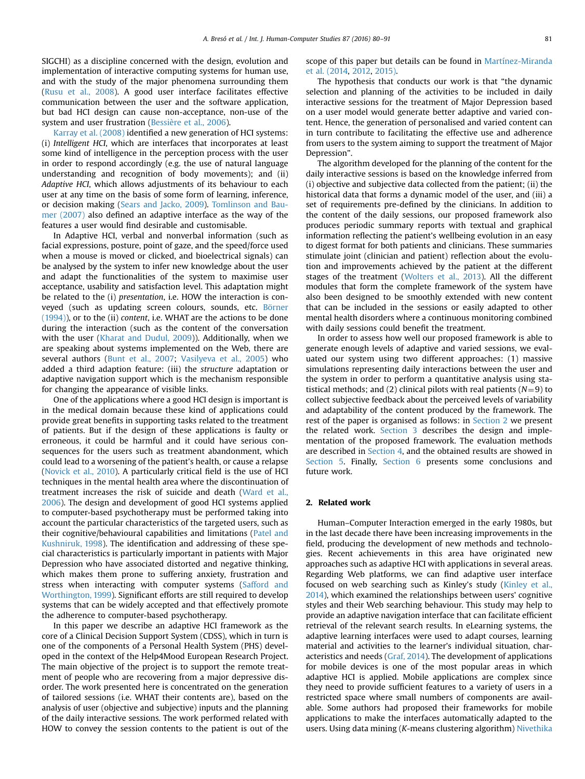SIGCHI) as a discipline concerned with the design, evolution and implementation of interactive computing systems for human use, and with the study of the major phenomena surrounding them (Rusu et al., 2008). A good user interface facilitates effective communication between the user and the software application, but bad HCI design can cause non-acceptance, non-use of the system and user frustration (Bessière et al., 2006).

Karray et al. (2008) identified a new generation of HCI systems: (i) Intelligent HCI, which are interfaces that incorporates at least some kind of intelligence in the perception process with the user in order to respond accordingly (e.g. the use of natural language understanding and recognition of body movements); and (ii) Adaptive HCI, which allows adjustments of its behaviour to each user at any time on the basis of some form of learning, inference, or decision making (Sears and Jacko, 2009). Tomlinson and Baumer (2007) also defined an adaptive interface as the way of the features a user would find desirable and customisable.

In Adaptive HCI, verbal and nonverbal information (such as facial expressions, posture, point of gaze, and the speed/force used when a mouse is moved or clicked, and bioelectrical signals) can be analysed by the system to infer new knowledge about the user and adapt the functionalities of the system to maximise user acceptance, usability and satisfaction level. This adaptation might be related to the (i) presentation, i.e. HOW the interaction is conveyed (such as updating screen colours, sounds, etc. Börner (1994)), or to the (ii) content, i.e. WHAT are the actions to be done during the interaction (such as the content of the conversation with the user (Kharat and Dudul, 2009)). Additionally, when we are speaking about systems implemented on the Web, there are several authors (Bunt et al., 2007; Vasilyeva et al., 2005) who added a third adaption feature: (iii) the structure adaptation or adaptive navigation support which is the mechanism responsible for changing the appearance of visible links.

One of the applications where a good HCI design is important is in the medical domain because these kind of applications could provide great benefits in supporting tasks related to the treatment of patients. But if the design of these applications is faulty or erroneous, it could be harmful and it could have serious consequences for the users such as treatment abandonment, which could lead to a worsening of the patient's health, or cause a relapse (Novick et al., 2010). A particularly critical field is the use of HCI techniques in the mental health area where the discontinuation of treatment increases the risk of suicide and death (Ward et al., 2006). The design and development of good HCI systems applied to computer-based psychotherapy must be performed taking into account the particular characteristics of the targeted users, such as their cognitive/behavioural capabilities and limitations (Patel and Kushniruk, 1998). The identification and addressing of these special characteristics is particularly important in patients with Major Depression who have associated distorted and negative thinking, which makes them prone to suffering anxiety, frustration and stress when interacting with computer systems (Safford and Worthington, 1999). Significant efforts are still required to develop systems that can be widely accepted and that effectively promote the adherence to computer-based psychotherapy.

In this paper we describe an adaptive HCI framework as the core of a Clinical Decision Support System (CDSS), which in turn is one of the components of a Personal Health System (PHS) developed in the context of the Help4Mood European Research Project. The main objective of the project is to support the remote treatment of people who are recovering from a major depressive disorder. The work presented here is concentrated on the generation of tailored sessions (i.e. WHAT their contents are), based on the analysis of user (objective and subjective) inputs and the planning of the daily interactive sessions. The work performed related with HOW to convey the session contents to the patient is out of the scope of this paper but details can be found in Martínez-Miranda et al. (2014, 2012, 2015).

The hypothesis that conducts our work is that "the dynamic selection and planning of the activities to be included in daily interactive sessions for the treatment of Major Depression based on a user model would generate better adaptive and varied content. Hence, the generation of personalised and varied content can in turn contribute to facilitating the effective use and adherence from users to the system aiming to support the treatment of Major Depression".

The algorithm developed for the planning of the content for the daily interactive sessions is based on the knowledge inferred from (i) objective and subjective data collected from the patient; (ii) the historical data that forms a dynamic model of the user, and (iii) a set of requirements pre-defined by the clinicians. In addition to the content of the daily sessions, our proposed framework also produces periodic summary reports with textual and graphical information reflecting the patient's wellbeing evolution in an easy to digest format for both patients and clinicians. These summaries stimulate joint (clinician and patient) reflection about the evolution and improvements achieved by the patient at the different stages of the treatment (Wolters et al., 2013). All the different modules that form the complete framework of the system have also been designed to be smoothly extended with new content that can be included in the sessions or easily adapted to other mental health disorders where a continuous monitoring combined with daily sessions could benefit the treatment.

In order to assess how well our proposed framework is able to generate enough levels of adaptive and varied sessions, we evaluated our system using two different approaches: (1) massive simulations representing daily interactions between the user and the system in order to perform a quantitative analysis using statistical methods; and (2) clinical pilots with real patients ( $N=9$ ) to collect subjective feedback about the perceived levels of variability and adaptability of the content produced by the framework. The rest of the paper is organised as follows: in Section 2 we present the related work. Section 3 describes the design and implementation of the proposed framework. The evaluation methods are described in Section 4, and the obtained results are showed in Section 5. Finally, Section 6 presents some conclusions and future work.

## 2. Related work

Human–Computer Interaction emerged in the early 1980s, but in the last decade there have been increasing improvements in the field, producing the development of new methods and technologies. Recent achievements in this area have originated new approaches such as adaptive HCI with applications in several areas. Regarding Web platforms, we can find adaptive user interface focused on web searching such as Kinley's study (Kinley et al., 2014), which examined the relationships between users' cognitive styles and their Web searching behaviour. This study may help to provide an adaptive navigation interface that can facilitate efficient retrieval of the relevant search results. In eLearning systems, the adaptive learning interfaces were used to adapt courses, learning material and activities to the learner's individual situation, characteristics and needs (Graf, 2014). The development of applications for mobile devices is one of the most popular areas in which adaptive HCI is applied. Mobile applications are complex since they need to provide sufficient features to a variety of users in a restricted space where small numbers of components are available. Some authors had proposed their frameworks for mobile applications to make the interfaces automatically adapted to the users. Using data mining (K-means clustering algorithm) Nivethika